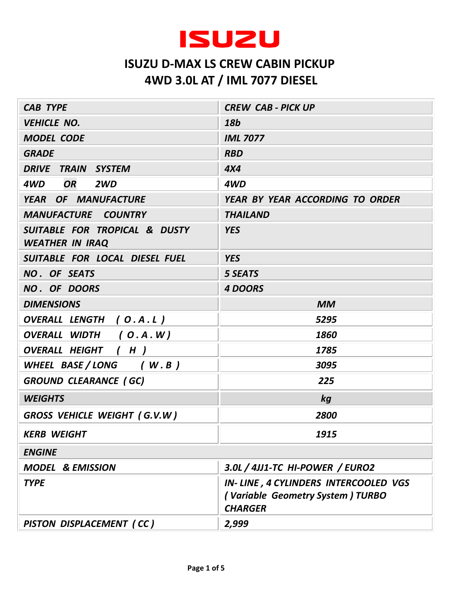

| <b>CAB TYPE</b>                                         | <b>CREW CAB - PICK UP</b>                                                                  |
|---------------------------------------------------------|--------------------------------------------------------------------------------------------|
| <b>VEHICLE NO.</b>                                      | 18b                                                                                        |
| <b>MODEL CODE</b>                                       | <b>IML 7077</b>                                                                            |
| <b>GRADE</b>                                            | <b>RBD</b>                                                                                 |
| DRIVE TRAIN SYSTEM                                      | 4X4                                                                                        |
| <b>OR</b><br>4WD<br>2WD                                 | 4WD                                                                                        |
| YEAR OF MANUFACTURE                                     | YEAR BY YEAR ACCORDING TO ORDER                                                            |
| <b>MANUFACTURE COUNTRY</b>                              | <b>THAILAND</b>                                                                            |
| SUITABLE FOR TROPICAL & DUSTY<br><b>WEATHER IN IRAQ</b> | <b>YES</b>                                                                                 |
| SUITABLE FOR LOCAL DIESEL FUEL                          | <b>YES</b>                                                                                 |
| NO. OF SEATS                                            | <b>5 SEATS</b>                                                                             |
| NO. OF DOORS                                            | <b>4 DOORS</b>                                                                             |
| <b>DIMENSIONS</b>                                       | <b>MM</b>                                                                                  |
| OVERALL LENGTH (O.A.L)                                  | 5295                                                                                       |
| OVERALL WIDTH (O.A.W)                                   | 1860                                                                                       |
| <b>OVERALL HEIGHT</b><br>(H)                            | 1785                                                                                       |
| WHEEL BASE/LONG (W.B)                                   | 3095                                                                                       |
| <b>GROUND CLEARANCE (GC)</b>                            | 225                                                                                        |
| <b>WEIGHTS</b>                                          | kg                                                                                         |
| <b>GROSS VEHICLE WEIGHT (G.V.W)</b>                     | 2800                                                                                       |
| <b>KERB WEIGHT</b>                                      | 1915                                                                                       |
| <b>ENGINE</b>                                           |                                                                                            |
| <b>MODEL &amp; EMISSION</b>                             | 3.0L / 4JJ1-TC HI-POWER / EURO2                                                            |
| <b>TYPE</b>                                             | IN-LINE, 4 CYLINDERS INTERCOOLED VGS<br>(Variable Geometry System) TURBO<br><b>CHARGER</b> |
| PISTON DISPLACEMENT (CC)                                | 2,999                                                                                      |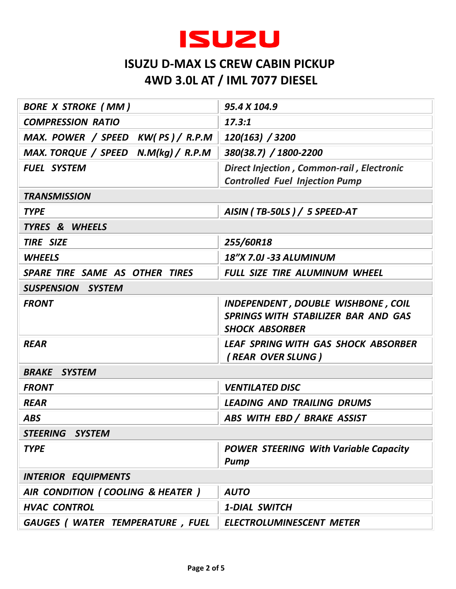

| <b>BORE X STROKE (MM)</b>           | 95.4 X 104.9                                                                                       |  |
|-------------------------------------|----------------------------------------------------------------------------------------------------|--|
| <b>COMPRESSION RATIO</b>            | 17.3:1                                                                                             |  |
| MAX. POWER / SPEED KW(PS)/R.P.M     | 120(163) / 3200                                                                                    |  |
| MAX. TORQUE / SPEED N.M(kg) / R.P.M | 380(38.7) / 1800-2200                                                                              |  |
| <b>FUEL SYSTEM</b>                  | <b>Direct Injection, Common-rail, Electronic</b><br><b>Controlled Fuel Injection Pump</b>          |  |
| <b>TRANSMISSION</b>                 |                                                                                                    |  |
| <b>TYPE</b>                         | AISIN (TB-50LS) / 5 SPEED-AT                                                                       |  |
| TYRES & WHEELS                      |                                                                                                    |  |
| <b>TIRE SIZE</b>                    | 255/60R18                                                                                          |  |
| <b>WHEELS</b>                       | 18"X 7.0J -33 ALUMINUM                                                                             |  |
| SPARE TIRE SAME AS OTHER TIRES      | FULL SIZE TIRE ALUMINUM WHEEL                                                                      |  |
| <b>SUSPENSION SYSTEM</b>            |                                                                                                    |  |
| <b>FRONT</b>                        | INDEPENDENT, DOUBLE WISHBONE, COIL<br>SPRINGS WITH STABILIZER BAR AND GAS<br><b>SHOCK ABSORBER</b> |  |
| <b>REAR</b>                         | <b>LEAF SPRING WITH GAS SHOCK ABSORBER</b><br>(REAR OVER SLUNG)                                    |  |
| <b>BRAKE SYSTEM</b>                 |                                                                                                    |  |
| <b>FRONT</b>                        | <b>VENTILATED DISC</b>                                                                             |  |
| <b>REAR</b>                         | <b>LEADING AND TRAILING DRUMS</b>                                                                  |  |
| <b>ABS</b>                          | ABS WITH EBD / BRAKE ASSIST                                                                        |  |
| STEERING SYSTEM                     |                                                                                                    |  |
| <b>TYPE</b>                         | <b>POWER STEERING With Variable Capacity</b><br>Pump                                               |  |
| <b>INTERIOR EQUIPMENTS</b>          |                                                                                                    |  |
| AIR CONDITION (COOLING & HEATER)    | <b>AUTO</b>                                                                                        |  |
| <b>HVAC CONTROL</b>                 | <b>1-DIAL SWITCH</b>                                                                               |  |
| GAUGES (WATER TEMPERATURE, FUEL     | <b>ELECTROLUMINESCENT METER</b>                                                                    |  |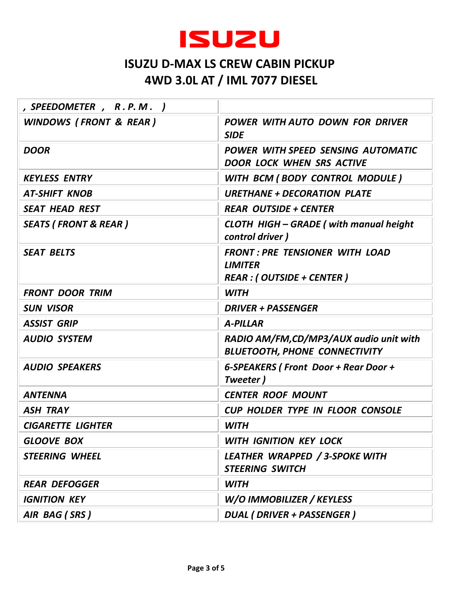

| , SPEEDOMETER, R.P.M.             |                                                                                             |
|-----------------------------------|---------------------------------------------------------------------------------------------|
| <b>WINDOWS (FRONT &amp; REAR)</b> | POWER WITH AUTO DOWN FOR DRIVER<br><b>SIDE</b>                                              |
| <b>DOOR</b>                       | POWER WITH SPEED SENSING AUTOMATIC<br><b>DOOR LOCK WHEN SRS ACTIVE</b>                      |
| <b>KEYLESS ENTRY</b>              | WITH BCM (BODY CONTROL MODULE)                                                              |
| <b>AT-SHIFT KNOB</b>              | <b>URETHANE + DECORATION PLATE</b>                                                          |
| <b>SEAT HEAD REST</b>             | <b>REAR OUTSIDE + CENTER</b>                                                                |
| <b>SEATS (FRONT &amp; REAR)</b>   | <b>CLOTH HIGH - GRADE (with manual height</b><br>control driver)                            |
| <b>SEAT BELTS</b>                 | <b>FRONT: PRE TENSIONER WITH LOAD</b><br><b>LIMITER</b><br><b>REAR : (OUTSIDE + CENTER)</b> |
| <b>FRONT DOOR TRIM</b>            | <b>WITH</b>                                                                                 |
| <b>SUN VISOR</b>                  | <b>DRIVER + PASSENGER</b>                                                                   |
| <b>ASSIST GRIP</b>                | <b>A-PILLAR</b>                                                                             |
| <b>AUDIO SYSTEM</b>               | RADIO AM/FM, CD/MP3/AUX audio unit with<br><b>BLUETOOTH, PHONE CONNECTIVITY</b>             |
| <b>AUDIO SPEAKERS</b>             | 6-SPEAKERS (Front Door + Rear Door +<br>Tweeter)                                            |
| <b>ANTENNA</b>                    | <b>CENTER ROOF MOUNT</b>                                                                    |
| <b>ASH TRAY</b>                   | <b>CUP HOLDER TYPE IN FLOOR CONSOLE</b>                                                     |
| <b>CIGARETTE LIGHTER</b>          | <b>WITH</b>                                                                                 |
| <b>GLOOVE BOX</b>                 | <b>WITH IGNITION KEY LOCK</b>                                                               |
| <b>STEERING WHEEL</b>             | LEATHER WRAPPED / 3-SPOKE WITH<br><b>STEERING SWITCH</b>                                    |
| <b>REAR DEFOGGER</b>              | <b>WITH</b>                                                                                 |
| <b>IGNITION KEY</b>               | W/O IMMOBILIZER / KEYLESS                                                                   |
| AIR BAG (SRS)                     | <b>DUAL ( DRIVER + PASSENGER )</b>                                                          |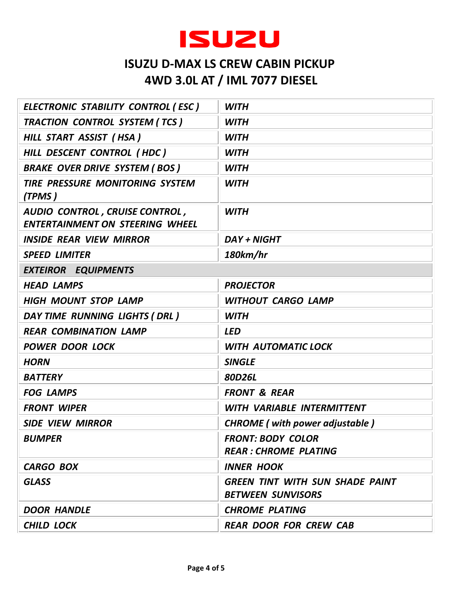

| ELECTRONIC STABILITY CONTROL (ESC)                                       | <b>WITH</b>                                                        |  |
|--------------------------------------------------------------------------|--------------------------------------------------------------------|--|
| TRACTION CONTROL SYSTEM (TCS)                                            | <b>WITH</b>                                                        |  |
| HILL START ASSIST (HSA)                                                  | <b>WITH</b>                                                        |  |
| HILL DESCENT CONTROL (HDC)                                               | <b>WITH</b>                                                        |  |
| <b>BRAKE OVER DRIVE SYSTEM (BOS)</b>                                     | <b>WITH</b>                                                        |  |
| <b>TIRE PRESSURE MONITORING SYSTEM</b><br>(TPMS)                         | <b>WITH</b>                                                        |  |
| AUDIO CONTROL, CRUISE CONTROL,<br><b>ENTERTAINMENT ON STEERING WHEEL</b> | <b>WITH</b>                                                        |  |
| <b>INSIDE REAR VIEW MIRROR</b>                                           | <b>DAY + NIGHT</b>                                                 |  |
| <b>SPEED LIMITER</b>                                                     | 180km/hr                                                           |  |
| <b>EXTEIROR EQUIPMENTS</b>                                               |                                                                    |  |
| <b>HEAD LAMPS</b>                                                        | <b>PROJECTOR</b>                                                   |  |
| <b>HIGH MOUNT STOP LAMP</b>                                              | <b>WITHOUT CARGO LAMP</b>                                          |  |
| DAY TIME RUNNING LIGHTS (DRL)                                            | <b>WITH</b>                                                        |  |
| <b>REAR COMBINATION LAMP</b>                                             | <b>LED</b>                                                         |  |
| <b>POWER DOOR LOCK</b>                                                   | <b>WITH AUTOMATIC LOCK</b>                                         |  |
| <b>HORN</b>                                                              | <b>SINGLE</b>                                                      |  |
| <b>BATTERY</b>                                                           | 80D26L                                                             |  |
| <b>FOG LAMPS</b>                                                         | <b>FRONT &amp; REAR</b>                                            |  |
| <b>FRONT WIPER</b>                                                       | WITH VARIABLE INTERMITTENT                                         |  |
| <b>SIDE VIEW MIRROR</b>                                                  | <b>CHROME</b> (with power adjustable)                              |  |
| <b>BUMPER</b>                                                            | <b>FRONT: BODY COLOR</b><br><b>REAR: CHROME PLATING</b>            |  |
| <b>CARGO BOX</b>                                                         | <b>INNER HOOK</b>                                                  |  |
| <b>GLASS</b>                                                             | <b>GREEN TINT WITH SUN SHADE PAINT</b><br><b>BETWEEN SUNVISORS</b> |  |
| <b>DOOR HANDLE</b>                                                       | <b>CHROME PLATING</b>                                              |  |
| <b>CHILD LOCK</b>                                                        | <b>REAR DOOR FOR CREW CAB</b>                                      |  |